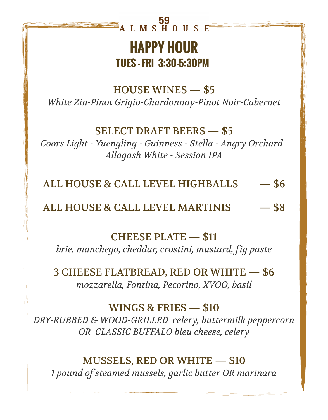# 59<br>ALMSHOUSE

# **HAPPY HOUR TUES - FRI 3:30-5:30PM**

HOUSE WINES — \$5 *White Zin-Pinot Grigio-Chardonnay-Pinot Noir-Cabernet*

## SELECT DRAFT BEERS — \$5

*Coors Light - Yuengling - Guinness - Stella - Angry Orchard Allagash White - Session IPA*

ALL HOUSE & CALL LEVEL HIGHBALLS — \$6

ALL HOUSE & CALL LEVEL MARTINIS — \$8

CHEESE PLATE — \$11

*brie, manchego, cheddar, crostini, mustard, fig paste*

3 CHEESE FLATBREAD, RED OR WHITE — \$6 *mozzarella, Fontina, Pecorino, XVOO, basil*

WINGS & FRIES — \$10 *DRY-RUBBED & WOOD-GRILLED celery, buttermilk peppercorn OR CLASSIC BUFFALO bleu cheese, celery*

MUSSELS, RED OR WHITE — \$10 *1 pound of steamed mussels, garlic butter OR marinara*